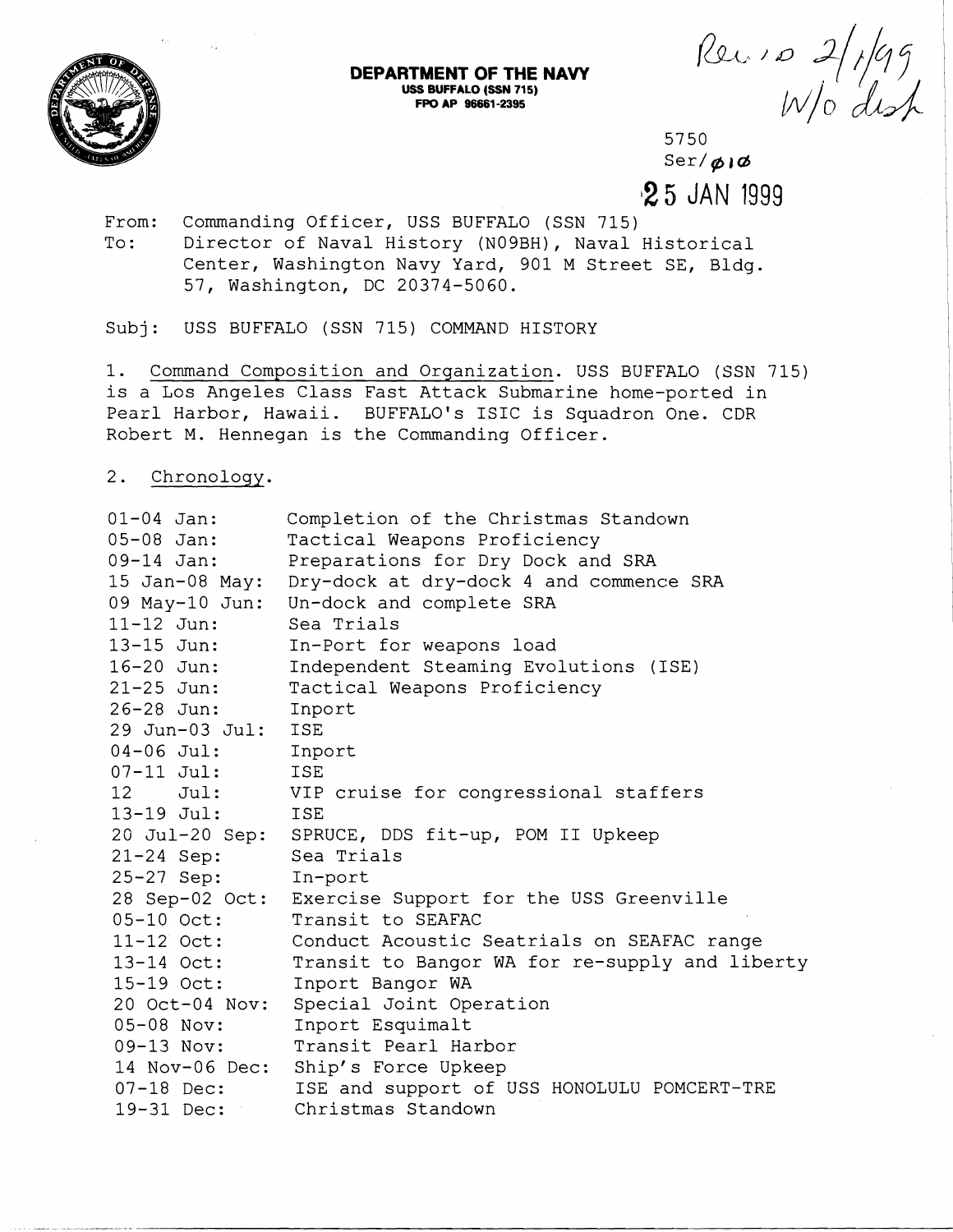

## Rec. 10 2/1/99

5750  $\text{Ser}/\phi$ i $\phi$ **12 5** JAN 1999

From: Commanding Officer, USS BUFFALO (SSN 715) To: Director of Naval History (N09BH), Naval Historical Center, Washington Navy Yard, 901 M Street SE, Bldg. 57, Washington, DC 20374-5060.

Subj: USS BUFFALO (SSN 715) COMMAND HISTORY

1. Command Composition and Organization. USS BUFFALO (SSN 715) is a Los Angeles Class Fast Attack Submarine home-ported in Pearl Harbor, Hawaii. BUFFALO'S ISIC is Squadron One. CDR Robert M. Hennegan is the Commanding Officer.

**DEPARTMENT OF THE NAVY USS BUFFALO (SSN 715) FPO AP 96661 -2395** 

2. Chronology.

| $01 - 04$ Jan:   | Completion of the Christmas Standown                   |
|------------------|--------------------------------------------------------|
| $05 - 08$ Jan:   | Tactical Weapons Proficiency                           |
| 09-14 Jan:       | Preparations for Dry Dock and SRA                      |
| $15$ Jan-08 May: | Dry-dock at dry-dock 4 and commence SRA                |
|                  | 09 May-10 Jun: Un-dock and complete SRA                |
| 11-12 Jun:       | Sea Trials                                             |
| 13-15 Jun:       | In-Port for weapons load                               |
| 16-20 Jun:       | Independent Steaming Evolutions (ISE)                  |
| $21 - 25$ Jun:   | Tactical Weapons Proficiency                           |
| 26-28 Jun:       | Inport                                                 |
| 29 Jun-03 Jul:   | ISE                                                    |
| $04 - 06$ Jul:   | Inport                                                 |
| $07 - 11$ Jul:   | <b>ISE</b>                                             |
| 12 Jul:          | VIP cruise for congressional staffers                  |
| $13-19$ Jul:     | <b>ISE</b>                                             |
|                  | 20 Jul-20 Sep: SPRUCE, DDS fit-up, POM II Upkeep       |
| $21 - 24$ Sep:   | Sea Trials                                             |
| $25 - 27$ Sep:   | In-port                                                |
|                  | 28 Sep-02 Oct: Exercise Support for the USS Greenville |
| 05-10 Oct:       | Transit to SEAFAC                                      |
| 11-12 Oct:       | Conduct Acoustic Seatrials on SEAFAC range             |
| 13-14 Oct:       | Transit to Bangor WA for re-supply and liberty         |
| 15-19 Oct:       | Inport Bangor WA                                       |
| 20 Oct-04 Nov:   | Special Joint Operation                                |
| 05-08 Nov:       | Inport Esquimalt                                       |
| $09-13$ Nov:     | Transit Pearl Harbor                                   |
| 14 Nov-06 Dec:   | Ship's Force Upkeep                                    |
| $07-18$ Dec:     | ISE and support of USS HONOLULU POMCERT-TRE            |
| $19-31$ Dec:     | Christmas Standown                                     |